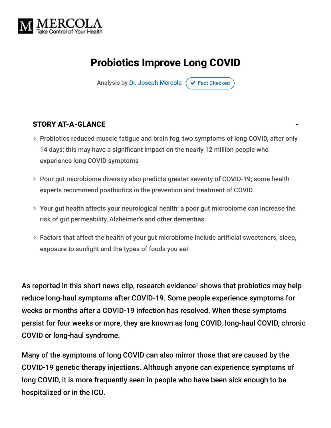

# Probiotics Improve Long COVID

Analysis by [Dr. Joseph Mercola](https://www.mercola.com/forms/background.htm)  $\sigma$  [Fact Checked](javascript:void(0))

#### STORY AT-A-GLANCE

- > Probiotics reduced muscle fatigue and brain fog, two symptoms of long COVID, after only 14 days; this may have a significant impact on the nearly 12 million people who experience long COVID symptoms
- Poor gut microbiome diversity also predicts greater severity of COVID-19; some health experts recommend postbiotics in the prevention and treatment of COVID
- Your gut health affects your neurological health; a poor gut microbiome can increase the risk of gut permeability, Alzheimer's and other dementias
- Factors that affect the health of your gut microbiome include artificial sweeteners, sleep, exposure to sunlight and the types of foods you eat

As reported in this short news clip, research evidence<sup>1</sup> shows that probiotics may help reduce long-haul symptoms after COVID-19. Some people experience symptoms for weeks or months after a COVID-19 infection has resolved. When these symptoms persist for four weeks or more, they are known as long COVID, long-haul COVID, chronic COVID or long-haul syndrome.

Many of the symptoms of long COVID can also mirror those that are caused by the COVID-19 genetic therapy injections. Although anyone can experience symptoms of long COVID, it is more frequently seen in people who have been sick enough to be hospitalized or in the ICU.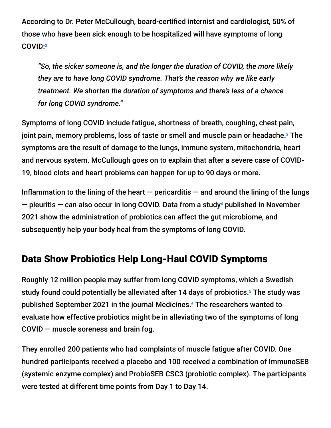According to Dr. Peter McCullough, board-certified internist and cardiologist, 50% of those who have been sick enough to be hospitalized will have symptoms of long COVID: 2

*"So, the sicker someone is, and the longer the duration of COVID, the more likely they are to have long COVID syndrome. That's the reason why we like early treatment. We shorten the duration of symptoms and there's less of a chance for long COVID syndrome."*

Symptoms of long COVID include fatigue, shortness of breath, coughing, chest pain, joint pain, memory problems, loss of taste or smell and muscle pain or headache.<sup>3</sup> The symptoms are the result of damage to the lungs, immune system, mitochondria, heart and nervous system. McCullough goes on to explain that after a severe case of COVID-19, blood clots and heart problems can happen for up to 90 days or more.

Inflammation to the lining of the heart  $-$  pericarditis  $-$  and around the lining of the lungs  $-$  pleuritis  $-$  can also occur in long COVID. Data from a study<sup>4</sup> published in November 2021 show the administration of probiotics can affect the gut microbiome, and subsequently help your body heal from the symptoms of long COVID.

### Data Show Probiotics Help Long-Haul COVID Symptoms

Roughly 12 million people may suffer from long COVID symptoms, which a Swedish study found could potentially be alleviated after 14 days of probiotics.<sup>5</sup> The study was published September 2021 in the journal Medicines.<sup>6</sup> The researchers wanted to evaluate how effective probiotics might be in alleviating two of the symptoms of long COVID — muscle soreness and brain fog.

They enrolled 200 patients who had complaints of muscle fatigue after COVID. One hundred participants received a placebo and 100 received a combination of ImmunoSEB (systemic enzyme complex) and ProbioSEB CSC3 (probiotic complex). The participants were tested at different time points from Day 1 to Day 14.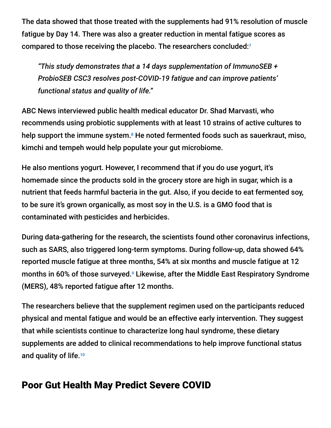The data showed that those treated with the supplements had 91% resolution of muscle fatigue by Day 14. There was also a greater reduction in mental fatigue scores as compared to those receiving the placebo. The researchers concluded: 7

*"This study demonstrates that a 14 days supplementation of ImmunoSEB + ProbioSEB CSC3 resolves post-COVID-19 fatigue and can improve patients' functional status and quality of life."*

ABC News interviewed public health medical educator Dr. Shad Marvasti, who recommends using probiotic supplements with at least 10 strains of active cultures to help support the immune system.<sup>8</sup> He noted fermented foods such as sauerkraut, miso, kimchi and tempeh would help populate your gut microbiome.

He also mentions yogurt. However, I recommend that if you do use yogurt, it's homemade since the products sold in the grocery store are high in sugar, which is a nutrient that feeds harmful bacteria in the gut. Also, if you decide to eat fermented soy, to be sure it's grown organically, as most soy in the U.S. is a GMO food that is contaminated with pesticides and herbicides.

During data-gathering for the research, the scientists found other coronavirus infections, such as SARS, also triggered long-term symptoms. During follow-up, data showed 64% reported muscle fatigue at three months, 54% at six months and muscle fatigue at 12 months in 60% of those surveyed.<sup>9</sup> Likewise, after the Middle East Respiratory Syndrome (MERS), 48% reported fatigue after 12 months.

The researchers believe that the supplement regimen used on the participants reduced physical and mental fatigue and would be an effective early intervention. They suggest that while scientists continue to characterize long haul syndrome, these dietary supplements are added to clinical recommendations to help improve functional status and quality of life. 10

### Poor Gut Health May Predict Severe COVID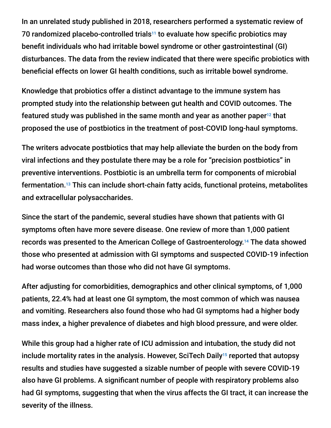In an unrelated study published in 2018, researchers performed a systematic review of 70 randomized placebo-controlled trials<sup>11</sup> to evaluate how specific probiotics may benefit individuals who had irritable bowel syndrome or other gastrointestinal (GI) disturbances. The data from the review indicated that there were specific probiotics with beneficial effects on lower GI health conditions, such as irritable bowel syndrome.

Knowledge that probiotics offer a distinct advantage to the immune system has prompted study into the relationship between gut health and COVID outcomes. The featured study was published in the same month and year as another paper $^{12}$  that proposed the use of postbiotics in the treatment of post-COVID long-haul symptoms.

The writers advocate postbiotics that may help alleviate the burden on the body from viral infections and they postulate there may be a role for "precision postbiotics" in preventive interventions. Postbiotic is an umbrella term for components of microbial fermentation.<sup>13</sup> This can include short-chain fatty acids, functional proteins, metabolites and extracellular polysaccharides.

Since the start of the pandemic, several studies have shown that patients with GI symptoms often have more severe disease. One review of more than 1,000 patient records was presented to the American College of Gastroenterology.<sup>14</sup> The data showed those who presented at admission with GI symptoms and suspected COVID-19 infection had worse outcomes than those who did not have GI symptoms.

After adjusting for comorbidities, demographics and other clinical symptoms, of 1,000 patients, 22.4% had at least one GI symptom, the most common of which was nausea and vomiting. Researchers also found those who had GI symptoms had a higher body mass index, a higher prevalence of diabetes and high blood pressure, and were older.

While this group had a higher rate of ICU admission and intubation, the study did not include mortality rates in the analysis. However, SciTech Daily<sup>15</sup> reported that autopsy results and studies have suggested a sizable number of people with severe COVID-19 also have GI problems. A significant number of people with respiratory problems also had GI symptoms, suggesting that when the virus affects the GI tract, it can increase the severity of the illness.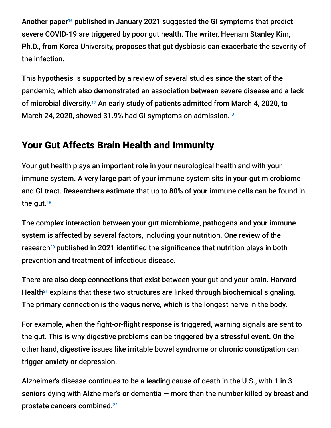Another paper<sup>16</sup> published in January 2021 suggested the GI symptoms that predict severe COVID-19 are triggered by poor gut health. The writer, Heenam Stanley Kim, Ph.D., from Korea University, proposes that gut dysbiosis can exacerbate the severity of the infection.

This hypothesis is supported by a review of several studies since the start of the pandemic, which also demonstrated an association between severe disease and a lack of microbial diversity.<sup>17</sup> An early study of patients admitted from March 4, 2020, to March 24, 2020, showed 31.9% had GI symptoms on admission. 18

# Your Gut Affects Brain Health and Immunity

Your gut health plays an important role in your neurological health and with your immune system. A very large part of your immune system sits in your gut microbiome and GI tract. Researchers estimate that up to 80% of your immune cells can be found in the gut. 19

The complex interaction between your gut microbiome, pathogens and your immune system is affected by several factors, including your nutrition. One review of the research<sup>20</sup> published in 2021 identified the significance that nutrition plays in both prevention and treatment of infectious disease.

There are also deep connections that exist between your gut and your brain. Harvard Health $21$  explains that these two structures are linked through biochemical signaling. The primary connection is the vagus nerve, which is the longest nerve in the body.

For example, when the fight-or-flight response is triggered, warning signals are sent to the gut. This is why digestive problems can be triggered by a stressful event. On the other hand, digestive issues like irritable bowel syndrome or chronic constipation can trigger anxiety or depression.

Alzheimer's disease continues to be a leading cause of death in the U.S., with 1 in 3 seniors dying with Alzheimer's or dementia — more than the number killed by breast and prostate cancers combined. 22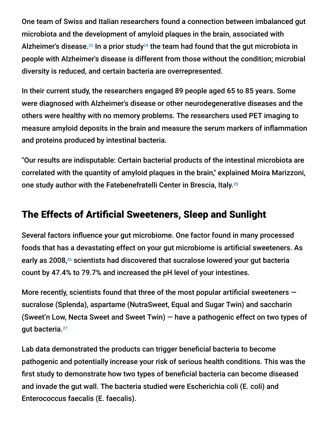One team of Swiss and Italian researchers found a connection between imbalanced gut microbiota and the development of amyloid plaques in the brain, associated with Alzheimer's disease.<sup>23</sup> In a prior study<sup>24</sup> the team had found that the gut microbiota in people with Alzheimer's disease is different from those without the condition; microbial diversity is reduced, and certain bacteria are overrepresented.

In their current study, the researchers engaged 89 people aged 65 to 85 years. Some were diagnosed with Alzheimer's disease or other neurodegenerative diseases and the others were healthy with no memory problems. The researchers used PET imaging to measure amyloid deposits in the brain and measure the serum markers of inflammation and proteins produced by intestinal bacteria.

"Our results are indisputable: Certain bacterial products of the intestinal microbiota are correlated with the quantity of amyloid plaques in the brain," explained Moira Marizzoni, one study author with the Fatebenefratelli Center in Brescia, Italy. 25

### The Effects of Artificial Sweeteners, Sleep and Sunlight

Several factors influence your gut microbiome. One factor found in many processed foods that has a devastating effect on your gut microbiome is artificial sweeteners. As early as 2008,<sup>26</sup> scientists had discovered that sucralose lowered your gut bacteria count by 47.4% to 79.7% and increased the pH level of your intestines.

More recently, scientists found that three of the most popular artificial sweeteners  $$ sucralose (Splenda), aspartame (NutraSweet, Equal and Sugar Twin) and saccharin (Sweet'n Low, Necta Sweet and Sweet Twin) — have a pathogenic effect on two types of gut bacteria. 27

Lab data demonstrated the products can trigger beneficial bacteria to become pathogenic and potentially increase your risk of serious health conditions. This was the first study to demonstrate how two types of beneficial bacteria can become diseased and invade the gut wall. The bacteria studied were Escherichia coli (E. coli) and Enterococcus faecalis (E. faecalis).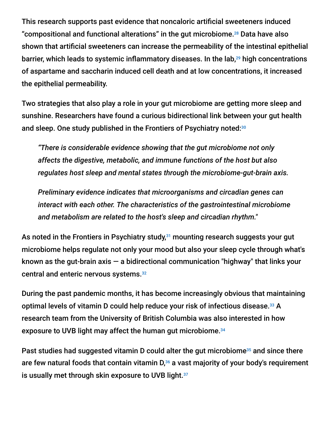This research supports past evidence that noncaloric artificial sweeteners induced "compositional and functional alterations" in the gut microbiome.<sup>28</sup> Data have also shown that artificial sweeteners can increase the permeability of the intestinal epithelial barrier, which leads to systemic inflammatory diseases. In the lab,<sup>29</sup> high concentrations of aspartame and saccharin induced cell death and at low concentrations, it increased the epithelial permeability.

Two strategies that also play a role in your gut microbiome are getting more sleep and sunshine. Researchers have found a curious bidirectional link between your gut health and sleep. One study published in the Frontiers of Psychiatry noted:<sup>30</sup>

*"There is considerable evidence showing that the gut microbiome not only affects the digestive, metabolic, and immune functions of the host but also regulates host sleep and mental states through the microbiome-gut-brain axis.*

*Preliminary evidence indicates that microorganisms and circadian genes can interact with each other. The characteristics of the gastrointestinal microbiome and metabolism are related to the host's sleep and circadian rhythm."*

As noted in the Frontiers in Psychiatry study, $31$  mounting research suggests your gut microbiome helps regulate not only your mood but also your sleep cycle through what's known as the gut-brain axis  $-$  a bidirectional communication "highway" that links your central and enteric nervous systems. 32

During the past pandemic months, it has become increasingly obvious that maintaining optimal levels of vitamin D could help reduce your risk of infectious disease.<sup>33</sup> A research team from the University of British Columbia was also interested in how exposure to UVB light may affect the human gut microbiome. 34

Past studies had suggested vitamin D could alter the gut microbiome $35$  and since there are few natural foods that contain vitamin  $D_{\nu}^{36}$  a vast majority of your body's requirement is usually met through skin exposure to UVB light. $^{\scriptscriptstyle 37}$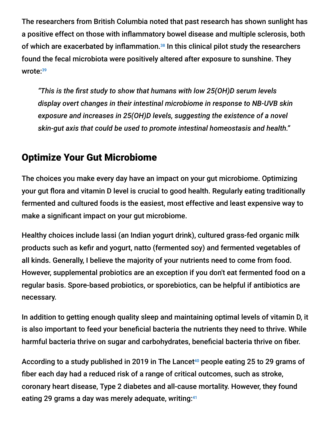The researchers from British Columbia noted that past research has shown sunlight has a positive effect on those with inflammatory bowel disease and multiple sclerosis, both of which are exacerbated by inflammation.<sup>38</sup> In this clinical pilot study the researchers found the fecal microbiota were positively altered after exposure to sunshine. They wrote: 39

*"This is the first study to show that humans with low 25(OH)D serum levels display overt changes in their intestinal microbiome in response to NB-UVB skin exposure and increases in 25(OH)D levels, suggesting the existence of a novel skin-gut axis that could be used to promote intestinal homeostasis and health."*

# Optimize Your Gut Microbiome

The choices you make every day have an impact on your gut microbiome. Optimizing your gut flora and vitamin D level is crucial to good health. Regularly eating traditionally fermented and cultured foods is the easiest, most effective and least expensive way to make a significant impact on your gut microbiome.

Healthy choices include lassi (an Indian yogurt drink), cultured grass-fed organic milk products such as kefir and yogurt, natto (fermented soy) and fermented vegetables of all kinds. Generally, I believe the majority of your nutrients need to come from food. However, supplemental probiotics are an exception if you don't eat fermented food on a regular basis. Spore-based probiotics, or sporebiotics, can be helpful if antibiotics are necessary.

In addition to getting enough quality sleep and maintaining optimal levels of vitamin D, it is also important to feed your beneficial bacteria the nutrients they need to thrive. While harmful bacteria thrive on sugar and carbohydrates, beneficial bacteria thrive on fiber.

According to a study published in 2019 in The Lancet $^{40}$  people eating 25 to 29 grams of fiber each day had a reduced risk of a range of critical outcomes, such as stroke, coronary heart disease, Type 2 diabetes and all-cause mortality. However, they found eating 29 grams a day was merely adequate, writing: 41